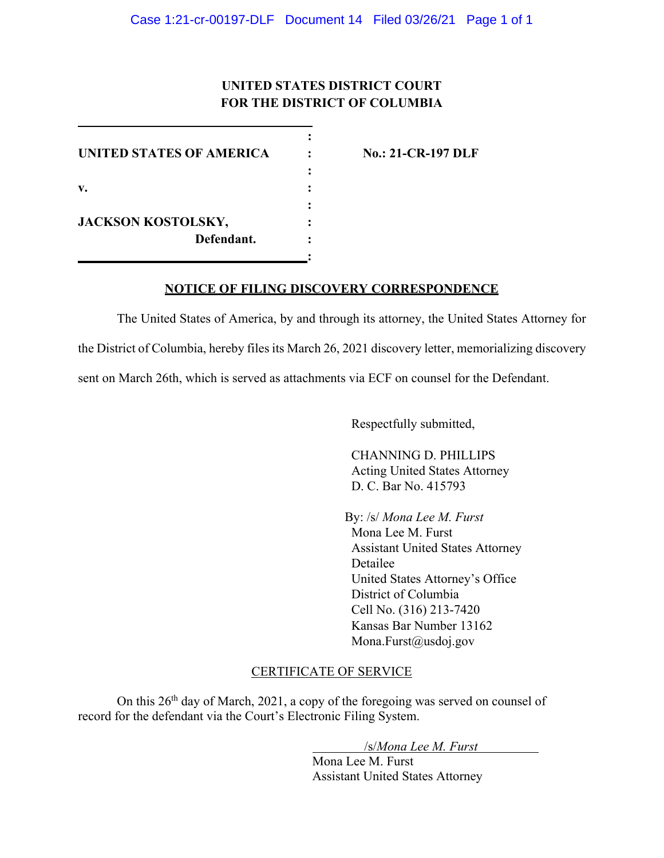## **UNITED STATES DISTRICT COURT FOR THE DISTRICT OF COLUMBIA**

**:**

**:**

**:** 

**:**

**UNITED STATES OF AMERICA : No.: 21-CR-197 DLF v. : JACKSON KOSTOLSKY, : Defendant. :**

## **NOTICE OF FILING DISCOVERY CORRESPONDENCE**

The United States of America, by and through its attorney, the United States Attorney for the District of Columbia, hereby files its March 26, 2021 discovery letter, memorializing discovery sent on March 26th, which is served as attachments via ECF on counsel for the Defendant.

Respectfully submitted,

CHANNING D. PHILLIPS Acting United States Attorney D. C. Bar No. 415793

By: /s/ *Mona Lee M. Furst*  Mona Lee M. Furst Assistant United States Attorney Detailee United States Attorney's Office District of Columbia Cell No. (316) 213-7420 Kansas Bar Number 13162 Mona.Furst@usdoj.gov

## CERTIFICATE OF SERVICE

On this 26th day of March, 2021, a copy of the foregoing was served on counsel of record for the defendant via the Court's Electronic Filing System.

/s/*Mona Lee M. Furst*

Mona Lee M. Furst Assistant United States Attorney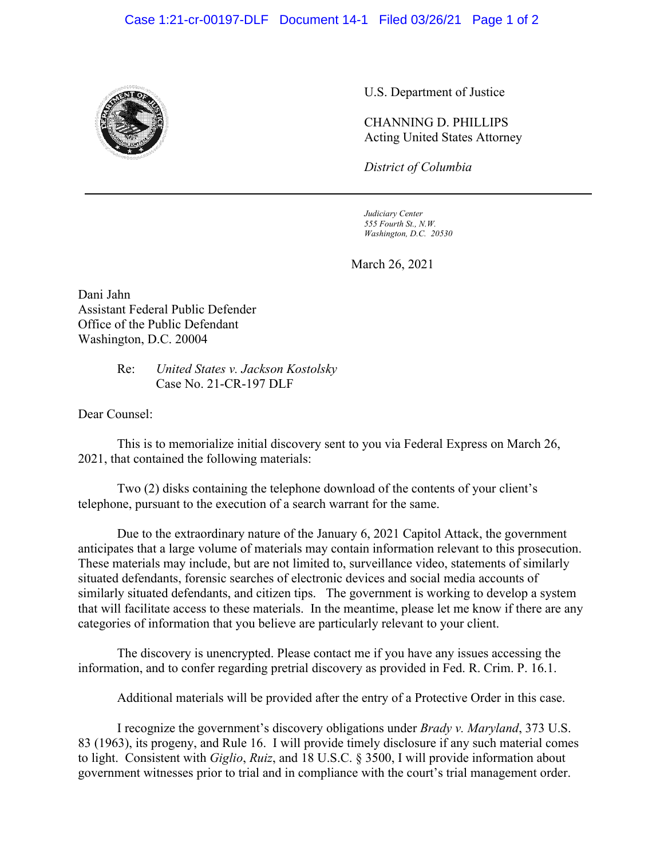## Case 1:21-cr-00197-DLF Document 14-1 Filed 03/26/21 Page 1 of 2



U.S. Department of Justice

CHANNING D. PHILLIPS Acting United States Attorney

*District of Columbia*

*Judiciary Center 555 Fourth St., N.W. Washington, D.C. 20530*

March 26, 2021

Dani Jahn Assistant Federal Public Defender Office of the Public Defendant Washington, D.C. 20004

> Re: *United States v. Jackson Kostolsky* Case No. 21-CR-197 DLF

Dear Counsel:

This is to memorialize initial discovery sent to you via Federal Express on March 26, 2021, that contained the following materials:

Two (2) disks containing the telephone download of the contents of your client's telephone, pursuant to the execution of a search warrant for the same.

Due to the extraordinary nature of the January 6, 2021 Capitol Attack, the government anticipates that a large volume of materials may contain information relevant to this prosecution. These materials may include, but are not limited to, surveillance video, statements of similarly situated defendants, forensic searches of electronic devices and social media accounts of similarly situated defendants, and citizen tips. The government is working to develop a system that will facilitate access to these materials. In the meantime, please let me know if there are any categories of information that you believe are particularly relevant to your client.

The discovery is unencrypted. Please contact me if you have any issues accessing the information, and to confer regarding pretrial discovery as provided in Fed. R. Crim. P. 16.1.

Additional materials will be provided after the entry of a Protective Order in this case.

I recognize the government's discovery obligations under *Brady v. Maryland*, 373 U.S. 83 (1963), its progeny, and Rule 16. I will provide timely disclosure if any such material comes to light. Consistent with *Giglio*, *Ruiz*, and 18 U.S.C. § 3500, I will provide information about government witnesses prior to trial and in compliance with the court's trial management order.